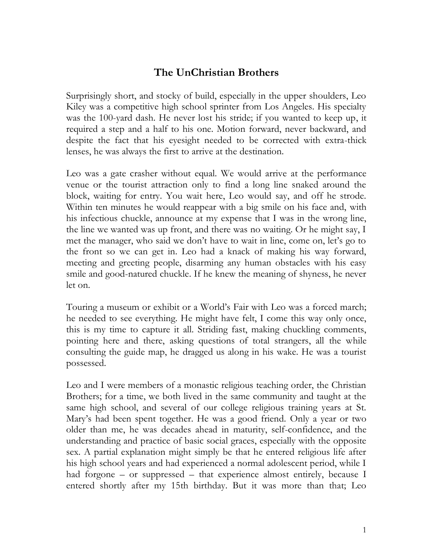## **The UnChristian Brothers**

Surprisingly short, and stocky of build, especially in the upper shoulders, Leo Kiley was a competitive high school sprinter from Los Angeles. His specialty was the 100-yard dash. He never lost his stride; if you wanted to keep up, it required a step and a half to his one. Motion forward, never backward, and despite the fact that his eyesight needed to be corrected with extra-thick lenses, he was always the first to arrive at the destination.

Leo was a gate crasher without equal. We would arrive at the performance venue or the tourist attraction only to find a long line snaked around the block, waiting for entry. You wait here, Leo would say, and off he strode. Within ten minutes he would reappear with a big smile on his face and, with his infectious chuckle, announce at my expense that I was in the wrong line, the line we wanted was up front, and there was no waiting. Or he might say, I met the manager, who said we don't have to wait in line, come on, let's go to the front so we can get in. Leo had a knack of making his way forward, meeting and greeting people, disarming any human obstacles with his easy smile and good-natured chuckle. If he knew the meaning of shyness, he never let on.

Touring a museum or exhibit or a World's Fair with Leo was a forced march; he needed to see everything. He might have felt, I come this way only once, this is my time to capture it all. Striding fast, making chuckling comments, pointing here and there, asking questions of total strangers, all the while consulting the guide map, he dragged us along in his wake. He was a tourist possessed.

Leo and I were members of a monastic religious teaching order, the Christian Brothers; for a time, we both lived in the same community and taught at the same high school, and several of our college religious training years at St. Mary's had been spent together. He was a good friend. Only a year or two older than me, he was decades ahead in maturity, self-confidence, and the understanding and practice of basic social graces, especially with the opposite sex. A partial explanation might simply be that he entered religious life after his high school years and had experienced a normal adolescent period, while I had forgone – or suppressed – that experience almost entirely, because I entered shortly after my 15th birthday. But it was more than that; Leo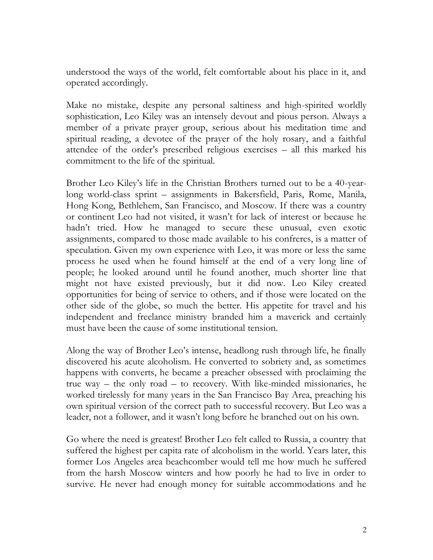understood the ways of the world, felt comfortable about his place in it, and operated accordingly.

Make no mistake, despite any personal saltiness and high-spirited worldly sophistication, Leo Kiley was an intensely devout and pious person. Always a member of a private prayer group, serious about his meditation time and spiritual reading, a devotee of the prayer of the holy rosary, and a faithful attendee of the order's prescribed religious exercises – all this marked his commitment to the life of the spiritual.

Brother Leo Kiley's life in the Christian Brothers turned out to be a 40-yearlong world-class sprint – assignments in Bakersfield, Paris, Rome, Manila, Hong Kong, Bethlehem, San Francisco, and Moscow. If there was a country or continent Leo had not visited, it wasn't for lack of interest or because he hadn't tried. How he managed to secure these unusual, even exotic assignments, compared to those made available to his confreres, is a matter of speculation. Given my own experience with Leo, it was more or less the same process he used when he found himself at the end of a very long line of people; he looked around until he found another, much shorter line that might not have existed previously, but it did now. Leo Kiley created opportunities for being of service to others, and if those were located on the other side of the globe, so much the better. His appetite for travel and his independent and freelance ministry branded him a maverick and certainly must have been the cause of some institutional tension.

Along the way of Brother Leo's intense, headlong rush through life, he finally discovered his acute alcoholism. He converted to sobriety and, as sometimes happens with converts, he became a preacher obsessed with proclaiming the true way – the only road – to recovery. With like-minded missionaries, he worked tirelessly for many years in the San Francisco Bay Area, preaching his own spiritual version of the correct path to successful recovery. But Leo was a leader, not a follower, and it wasn't long before he branched out on his own.

Go where the need is greatest! Brother Leo felt called to Russia, a country that suffered the highest per capita rate of alcoholism in the world. Years later, this former Los Angeles area beachcomber would tell me how much he suffered from the harsh Moscow winters and how poorly he had to live in order to survive. He never had enough money for suitable accommodations and he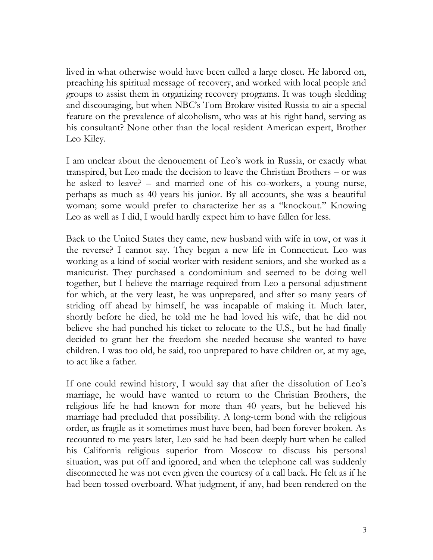lived in what otherwise would have been called a large closet. He labored on, preaching his spiritual message of recovery, and worked with local people and groups to assist them in organizing recovery programs. It was tough sledding and discouraging, but when NBC's Tom Brokaw visited Russia to air a special feature on the prevalence of alcoholism, who was at his right hand, serving as his consultant? None other than the local resident American expert, Brother Leo Kiley.

I am unclear about the denouement of Leo's work in Russia, or exactly what transpired, but Leo made the decision to leave the Christian Brothers – or was he asked to leave? – and married one of his co-workers, a young nurse, perhaps as much as 40 years his junior. By all accounts, she was a beautiful woman; some would prefer to characterize her as a "knockout." Knowing Leo as well as I did, I would hardly expect him to have fallen for less.

Back to the United States they came, new husband with wife in tow, or was it the reverse? I cannot say. They began a new life in Connecticut. Leo was working as a kind of social worker with resident seniors, and she worked as a manicurist. They purchased a condominium and seemed to be doing well together, but I believe the marriage required from Leo a personal adjustment for which, at the very least, he was unprepared, and after so many years of striding off ahead by himself, he was incapable of making it. Much later, shortly before he died, he told me he had loved his wife, that he did not believe she had punched his ticket to relocate to the U.S., but he had finally decided to grant her the freedom she needed because she wanted to have children. I was too old, he said, too unprepared to have children or, at my age, to act like a father.

If one could rewind history, I would say that after the dissolution of Leo's marriage, he would have wanted to return to the Christian Brothers, the religious life he had known for more than 40 years, but he believed his marriage had precluded that possibility. A long-term bond with the religious order, as fragile as it sometimes must have been, had been forever broken. As recounted to me years later, Leo said he had been deeply hurt when he called his California religious superior from Moscow to discuss his personal situation, was put off and ignored, and when the telephone call was suddenly disconnected he was not even given the courtesy of a call back. He felt as if he had been tossed overboard. What judgment, if any, had been rendered on the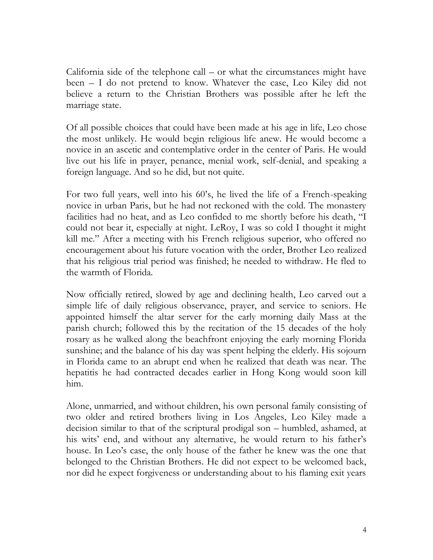California side of the telephone call – or what the circumstances might have been – I do not pretend to know. Whatever the case, Leo Kiley did not believe a return to the Christian Brothers was possible after he left the marriage state.

Of all possible choices that could have been made at his age in life, Leo chose the most unlikely. He would begin religious life anew. He would become a novice in an ascetic and contemplative order in the center of Paris. He would live out his life in prayer, penance, menial work, self-denial, and speaking a foreign language. And so he did, but not quite.

For two full years, well into his 60's, he lived the life of a French-speaking novice in urban Paris, but he had not reckoned with the cold. The monastery facilities had no heat, and as Leo confided to me shortly before his death, "I could not bear it, especially at night. LeRoy, I was so cold I thought it might kill me." After a meeting with his French religious superior, who offered no encouragement about his future vocation with the order, Brother Leo realized that his religious trial period was finished; he needed to withdraw. He fled to the warmth of Florida.

Now officially retired, slowed by age and declining health, Leo carved out a simple life of daily religious observance, prayer, and service to seniors. He appointed himself the altar server for the early morning daily Mass at the parish church; followed this by the recitation of the 15 decades of the holy rosary as he walked along the beachfront enjoying the early morning Florida sunshine; and the balance of his day was spent helping the elderly. His sojourn in Florida came to an abrupt end when he realized that death was near. The hepatitis he had contracted decades earlier in Hong Kong would soon kill him.

Alone, unmarried, and without children, his own personal family consisting of two older and retired brothers living in Los Angeles, Leo Kiley made a decision similar to that of the scriptural prodigal son – humbled, ashamed, at his wits' end, and without any alternative, he would return to his father's house. In Leo's case, the only house of the father he knew was the one that belonged to the Christian Brothers. He did not expect to be welcomed back, nor did he expect forgiveness or understanding about to his flaming exit years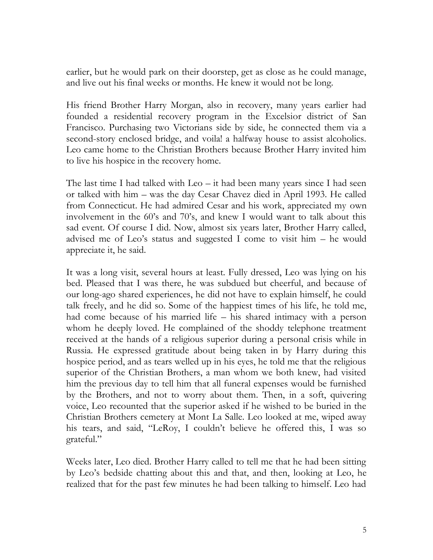earlier, but he would park on their doorstep, get as close as he could manage, and live out his final weeks or months. He knew it would not be long.

His friend Brother Harry Morgan, also in recovery, many years earlier had founded a residential recovery program in the Excelsior district of San Francisco. Purchasing two Victorians side by side, he connected them via a second-story enclosed bridge, and voila! a halfway house to assist alcoholics. Leo came home to the Christian Brothers because Brother Harry invited him to live his hospice in the recovery home.

The last time I had talked with Leo – it had been many years since I had seen or talked with him – was the day Cesar Chavez died in April 1993. He called from Connecticut. He had admired Cesar and his work, appreciated my own involvement in the 60's and 70's, and knew I would want to talk about this sad event. Of course I did. Now, almost six years later, Brother Harry called, advised me of Leo's status and suggested I come to visit him – he would appreciate it, he said.

It was a long visit, several hours at least. Fully dressed, Leo was lying on his bed. Pleased that I was there, he was subdued but cheerful, and because of our long-ago shared experiences, he did not have to explain himself, he could talk freely, and he did so. Some of the happiest times of his life, he told me, had come because of his married life – his shared intimacy with a person whom he deeply loved. He complained of the shoddy telephone treatment received at the hands of a religious superior during a personal crisis while in Russia. He expressed gratitude about being taken in by Harry during this hospice period, and as tears welled up in his eyes, he told me that the religious superior of the Christian Brothers, a man whom we both knew, had visited him the previous day to tell him that all funeral expenses would be furnished by the Brothers, and not to worry about them. Then, in a soft, quivering voice, Leo recounted that the superior asked if he wished to be buried in the Christian Brothers cemetery at Mont La Salle. Leo looked at me, wiped away his tears, and said, "LeRoy, I couldn't believe he offered this, I was so grateful."

Weeks later, Leo died. Brother Harry called to tell me that he had been sitting by Leo's bedside chatting about this and that, and then, looking at Leo, he realized that for the past few minutes he had been talking to himself. Leo had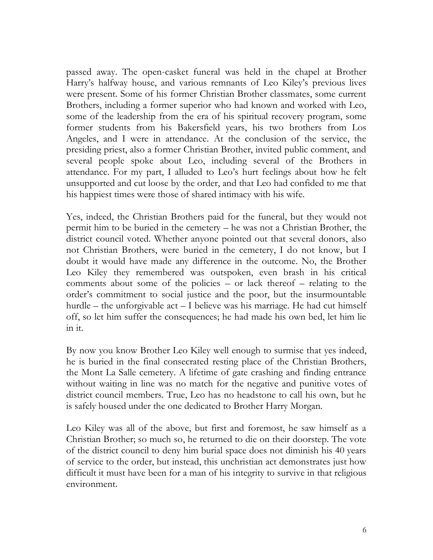passed away. The open-casket funeral was held in the chapel at Brother Harry's halfway house, and various remnants of Leo Kiley's previous lives were present. Some of his former Christian Brother classmates, some current Brothers, including a former superior who had known and worked with Leo, some of the leadership from the era of his spiritual recovery program, some former students from his Bakersfield years, his two brothers from Los Angeles, and I were in attendance. At the conclusion of the service, the presiding priest, also a former Christian Brother, invited public comment, and several people spoke about Leo, including several of the Brothers in attendance. For my part, I alluded to Leo's hurt feelings about how he felt unsupported and cut loose by the order, and that Leo had confided to me that his happiest times were those of shared intimacy with his wife.

Yes, indeed, the Christian Brothers paid for the funeral, but they would not permit him to be buried in the cemetery – he was not a Christian Brother, the district council voted. Whether anyone pointed out that several donors, also not Christian Brothers, were buried in the cemetery, I do not know, but I doubt it would have made any difference in the outcome. No, the Brother Leo Kiley they remembered was outspoken, even brash in his critical comments about some of the policies – or lack thereof – relating to the order's commitment to social justice and the poor, but the insurmountable hurdle – the unforgivable act – I believe was his marriage. He had cut himself off, so let him suffer the consequences; he had made his own bed, let him lie in it.

By now you know Brother Leo Kiley well enough to surmise that yes indeed, he is buried in the final consecrated resting place of the Christian Brothers, the Mont La Salle cemetery. A lifetime of gate crashing and finding entrance without waiting in line was no match for the negative and punitive votes of district council members. True, Leo has no headstone to call his own, but he is safely housed under the one dedicated to Brother Harry Morgan.

Leo Kiley was all of the above, but first and foremost, he saw himself as a Christian Brother; so much so, he returned to die on their doorstep. The vote of the district council to deny him burial space does not diminish his 40 years of service to the order, but instead, this unchristian act demonstrates just how difficult it must have been for a man of his integrity to survive in that religious environment.